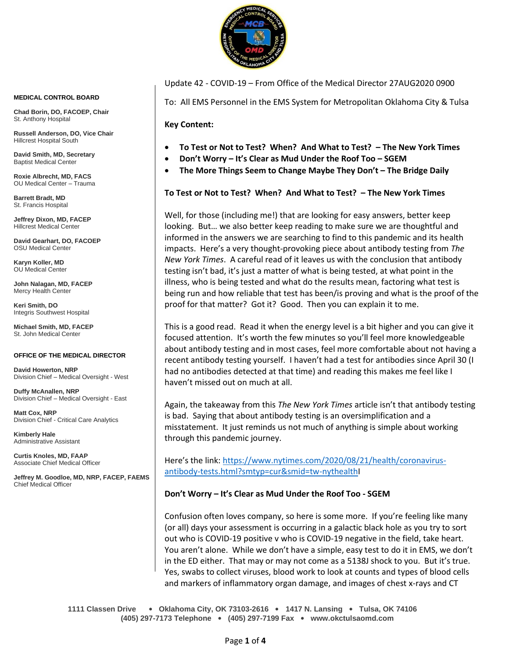

Update 42 - COVID-19 – From Office of the Medical Director 27AUG2020 0900

To: All EMS Personnel in the EMS System for Metropolitan Oklahoma City & Tulsa

**Key Content:**

- **To Test or Not to Test? When? And What to Test? – The New York Times**
- **Don't Worry – It's Clear as Mud Under the Roof Too – SGEM**
- **The More Things Seem to Change Maybe They Don't – The Bridge Daily**

## **To Test or Not to Test? When? And What to Test? – The New York Times**

Well, for those (including me!) that are looking for easy answers, better keep looking. But… we also better keep reading to make sure we are thoughtful and informed in the answers we are searching to find to this pandemic and its health impacts. Here's a very thought-provoking piece about antibody testing from *The New York Times*. A careful read of it leaves us with the conclusion that antibody testing isn't bad, it's just a matter of what is being tested, at what point in the illness, who is being tested and what do the results mean, factoring what test is being run and how reliable that test has been/is proving and what is the proof of the proof for that matter? Got it? Good. Then you can explain it to me.

This is a good read. Read it when the energy level is a bit higher and you can give it focused attention. It's worth the few minutes so you'll feel more knowledgeable about antibody testing and in most cases, feel more comfortable about not having a recent antibody testing yourself. I haven't had a test for antibodies since April 30 (I had no antibodies detected at that time) and reading this makes me feel like I haven't missed out on much at all.

Again, the takeaway from this *The New York Times* article isn't that antibody testing is bad. Saying that about antibody testing is an oversimplification and a misstatement. It just reminds us not much of anything is simple about working through this pandemic journey.

Here's the link: [https://www.nytimes.com/2020/08/21/health/coronavirus](https://www.nytimes.com/2020/08/21/health/coronavirus-antibody-tests.html?smtyp=cur&smid=tw-nythealth)[antibody-tests.html?smtyp=cur&smid=tw-nythealthI](https://www.nytimes.com/2020/08/21/health/coronavirus-antibody-tests.html?smtyp=cur&smid=tw-nythealth)

## **Don't Worry – It's Clear as Mud Under the Roof Too - SGEM**

Confusion often loves company, so here is some more. If you're feeling like many (or all) days your assessment is occurring in a galactic black hole as you try to sort out who is COVID-19 positive v who is COVID-19 negative in the field, take heart. You aren't alone. While we don't have a simple, easy test to do it in EMS, we don't in the ED either. That may or may not come as a 5138J shock to you. But it's true. Yes, swabs to collect viruses, blood work to look at counts and types of blood cells and markers of inflammatory organ damage, and images of chest x-rays and CT

**1111 Classen Drive** • **Oklahoma City, OK 73103-2616** • **1417 N. Lansing** • **Tulsa, OK 74106 (405) 297-7173 Telephone** • **(405) 297-7199 Fax** • **www.okctulsaomd.com**

#### **MEDICAL CONTROL BOARD**

**Chad Borin, DO, FACOEP, Chair**  St. Anthony Hospital

**Russell Anderson, DO, Vice Chair** Hillcrest Hospital South

**David Smith, MD, Secretary** Baptist Medical Center

**Roxie Albrecht, MD, FACS** OU Medical Center – Trauma

**Barrett Bradt, MD** St. Francis Hospital

**Jeffrey Dixon, MD, FACEP** Hillcrest Medical Center

**David Gearhart, DO, FACOEP** OSU Medical Center

**Karyn Koller, MD** OU Medical Center

**John Nalagan, MD, FACEP** Mercy Health Center

**Keri Smith, DO** Integris Southwest Hospital

**Michael Smith, MD, FACEP** St. John Medical Center

### **OFFICE OF THE MEDICAL DIRECTOR**

**David Howerton, NRP** Division Chief – Medical Oversight - West

**Duffy McAnallen, NRP** Division Chief – Medical Oversight - East

**Matt Cox, NRP** Division Chief - Critical Care Analytics

**Kimberly Hale** Administrative Assistant

**Curtis Knoles, MD, FAAP** Associate Chief Medical Officer

**Jeffrey M. Goodloe, MD, NRP, FACEP, FAEMS** Chief Medical Officer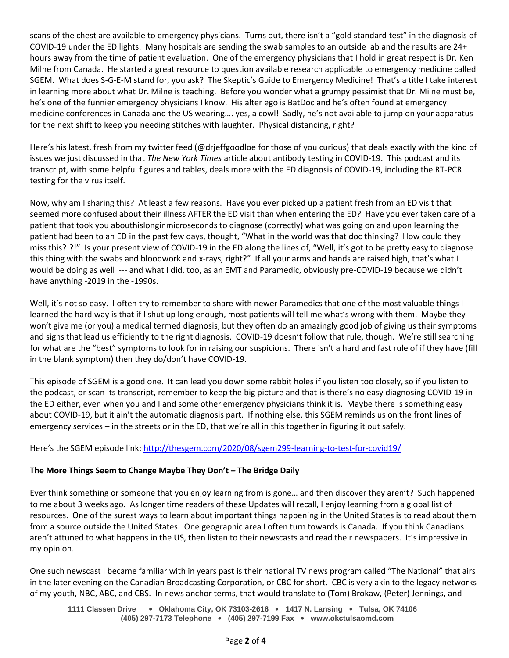scans of the chest are available to emergency physicians. Turns out, there isn't a "gold standard test" in the diagnosis of COVID-19 under the ED lights. Many hospitals are sending the swab samples to an outside lab and the results are 24+ hours away from the time of patient evaluation. One of the emergency physicians that I hold in great respect is Dr. Ken Milne from Canada. He started a great resource to question available research applicable to emergency medicine called SGEM. What does S-G-E-M stand for, you ask? The Skeptic's Guide to Emergency Medicine! That's a title I take interest in learning more about what Dr. Milne is teaching. Before you wonder what a grumpy pessimist that Dr. Milne must be, he's one of the funnier emergency physicians I know. His alter ego is BatDoc and he's often found at emergency medicine conferences in Canada and the US wearing…. yes, a cowl! Sadly, he's not available to jump on your apparatus for the next shift to keep you needing stitches with laughter. Physical distancing, right?

Here's his latest, fresh from my twitter feed (@drjeffgoodloe for those of you curious) that deals exactly with the kind of issues we just discussed in that *The New York Times* article about antibody testing in COVID-19. This podcast and its transcript, with some helpful figures and tables, deals more with the ED diagnosis of COVID-19, including the RT-PCR testing for the virus itself.

Now, why am I sharing this? At least a few reasons. Have you ever picked up a patient fresh from an ED visit that seemed more confused about their illness AFTER the ED visit than when entering the ED? Have you ever taken care of a patient that took you abouthislonginmicroseconds to diagnose (correctly) what was going on and upon learning the patient had been to an ED in the past few days, thought, "What in the world was that doc thinking? How could they miss this?!?!" Is your present view of COVID-19 in the ED along the lines of, "Well, it's got to be pretty easy to diagnose this thing with the swabs and bloodwork and x-rays, right?" If all your arms and hands are raised high, that's what I would be doing as well --- and what I did, too, as an EMT and Paramedic, obviously pre-COVID-19 because we didn't have anything -2019 in the -1990s.

Well, it's not so easy. I often try to remember to share with newer Paramedics that one of the most valuable things I learned the hard way is that if I shut up long enough, most patients will tell me what's wrong with them. Maybe they won't give me (or you) a medical termed diagnosis, but they often do an amazingly good job of giving us their symptoms and signs that lead us efficiently to the right diagnosis. COVID-19 doesn't follow that rule, though. We're still searching for what are the "best" symptoms to look for in raising our suspicions. There isn't a hard and fast rule of if they have (fill in the blank symptom) then they do/don't have COVID-19.

This episode of SGEM is a good one. It can lead you down some rabbit holes if you listen too closely, so if you listen to the podcast, or scan its transcript, remember to keep the big picture and that is there's no easy diagnosing COVID-19 in the ED either, even when you and I and some other emergency physicians think it is. Maybe there is something easy about COVID-19, but it ain't the automatic diagnosis part. If nothing else, this SGEM reminds us on the front lines of emergency services – in the streets or in the ED, that we're all in this together in figuring it out safely.

Here's the SGEM episode link[: http://thesgem.com/2020/08/sgem299-learning-to-test-for-covid19/](http://thesgem.com/2020/08/sgem299-learning-to-test-for-covid19/)

# **The More Things Seem to Change Maybe They Don't – The Bridge Daily**

Ever think something or someone that you enjoy learning from is gone… and then discover they aren't? Such happened to me about 3 weeks ago. As longer time readers of these Updates will recall, I enjoy learning from a global list of resources. One of the surest ways to learn about important things happening in the United States is to read about them from a source outside the United States. One geographic area I often turn towards is Canada. If you think Canadians aren't attuned to what happens in the US, then listen to their newscasts and read their newspapers. It's impressive in my opinion.

One such newscast I became familiar with in years past is their national TV news program called "The National" that airs in the later evening on the Canadian Broadcasting Corporation, or CBC for short. CBC is very akin to the legacy networks of my youth, NBC, ABC, and CBS. In news anchor terms, that would translate to (Tom) Brokaw, (Peter) Jennings, and

**1111 Classen Drive** • **Oklahoma City, OK 73103-2616** • **1417 N. Lansing** • **Tulsa, OK 74106 (405) 297-7173 Telephone** • **(405) 297-7199 Fax** • **www.okctulsaomd.com**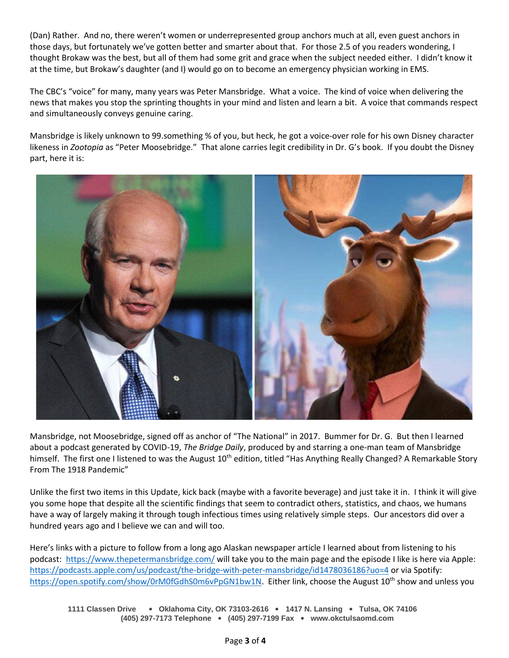(Dan) Rather. And no, there weren't women or underrepresented group anchors much at all, even guest anchors in those days, but fortunately we've gotten better and smarter about that. For those 2.5 of you readers wondering, I thought Brokaw was the best, but all of them had some grit and grace when the subject needed either. I didn't know it at the time, but Brokaw's daughter (and I) would go on to become an emergency physician working in EMS.

The CBC's "voice" for many, many years was Peter Mansbridge. What a voice. The kind of voice when delivering the news that makes you stop the sprinting thoughts in your mind and listen and learn a bit. A voice that commands respect and simultaneously conveys genuine caring.

Mansbridge is likely unknown to 99.something % of you, but heck, he got a voice-over role for his own Disney character likeness in *Zootopia* as "Peter Moosebridge." That alone carries legit credibility in Dr. G's book. If you doubt the Disney part, here it is:



Mansbridge, not Moosebridge, signed off as anchor of "The National" in 2017. Bummer for Dr. G. But then I learned about a podcast generated by COVID-19, *The Bridge Daily*, produced by and starring a one-man team of Mansbridge himself. The first one I listened to was the August  $10^{th}$  edition, titled "Has Anything Really Changed? A Remarkable Story From The 1918 Pandemic"

Unlike the first two items in this Update, kick back (maybe with a favorite beverage) and just take it in. I think it will give you some hope that despite all the scientific findings that seem to contradict others, statistics, and chaos, we humans have a way of largely making it through tough infectious times using relatively simple steps. Our ancestors did over a hundred years ago and I believe we can and will too.

Here's links with a picture to follow from a long ago Alaskan newspaper article I learned about from listening to his podcast: <https://www.thepetermansbridge.com/> will take you to the main page and the episode I like is here via Apple: <https://podcasts.apple.com/us/podcast/the-bridge-with-peter-mansbridge/id1478036186?uo=4> or via Spotify: [https://open.spotify.com/show/0rM0fGdhS0m6vPpGN1bw1N.](https://open.spotify.com/show/0rM0fGdhS0m6vPpGN1bw1N) Either link, choose the August 10<sup>th</sup> show and unless you

**1111 Classen Drive** • **Oklahoma City, OK 73103-2616** • **1417 N. Lansing** • **Tulsa, OK 74106 (405) 297-7173 Telephone** • **(405) 297-7199 Fax** • **www.okctulsaomd.com**